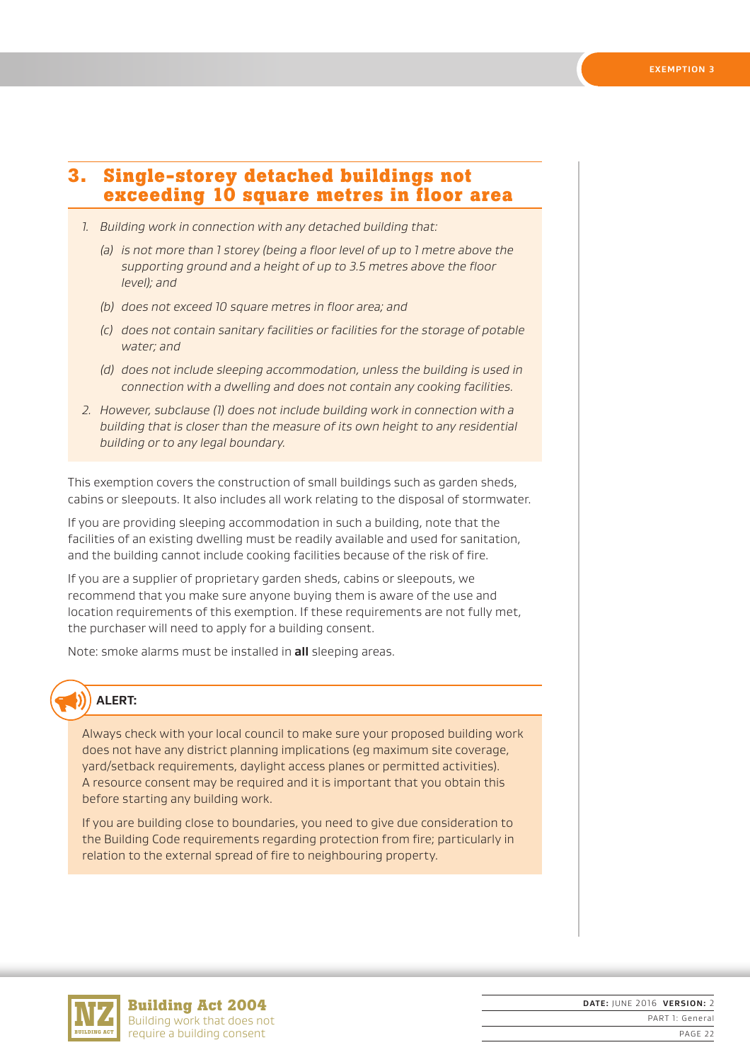## **3. Single-storey detached buildings not exceeding 10 square metres in floor area**

- *1. Building work in connection with any detached building that:*
	- *(a) is not more than 1 storey (being a floor level of up to 1 metre above the supporting ground and a height of up to 3.5 metres above the floor level); and*
	- *(b) does not exceed 10 square metres in floor area; and*
	- *(c) does not contain sanitary facilities or facilities for the storage of potable water; and*
	- *(d) does not include sleeping accommodation, unless the building is used in connection with a dwelling and does not contain any cooking facilities.*
- *2. However, subclause (1) does not include building work in connection with a building that is closer than the measure of its own height to any residential building or to any legal boundary.*

This exemption covers the construction of small buildings such as garden sheds, cabins or sleepouts. It also includes all work relating to the disposal of stormwater.

If you are providing sleeping accommodation in such a building, note that the facilities of an existing dwelling must be readily available and used for sanitation, and the building cannot include cooking facilities because of the risk of fire.

If you are a supplier of proprietary garden sheds, cabins or sleepouts, we recommend that you make sure anyone buying them is aware of the use and location requirements of this exemption. If these requirements are not fully met, the purchaser will need to apply for a building consent.

Note: smoke alarms must be installed in **all** sleeping areas.

## **ALERT:**

Always check with your local council to make sure your proposed building work does not have any district planning implications (eg maximum site coverage, yard/setback requirements, daylight access planes or permitted activities). A resource consent may be required and it is important that you obtain this before starting any building work.

If you are building close to boundaries, you need to give due consideration to the Building Code requirements regarding protection from fire; particularly in relation to the external spread of fire to neighbouring property.



**Building Act 2004** Building work that does not require a building consent

**DATE:** JUNE 2016 **VERSION:** 2 PART 1: General PAGE 22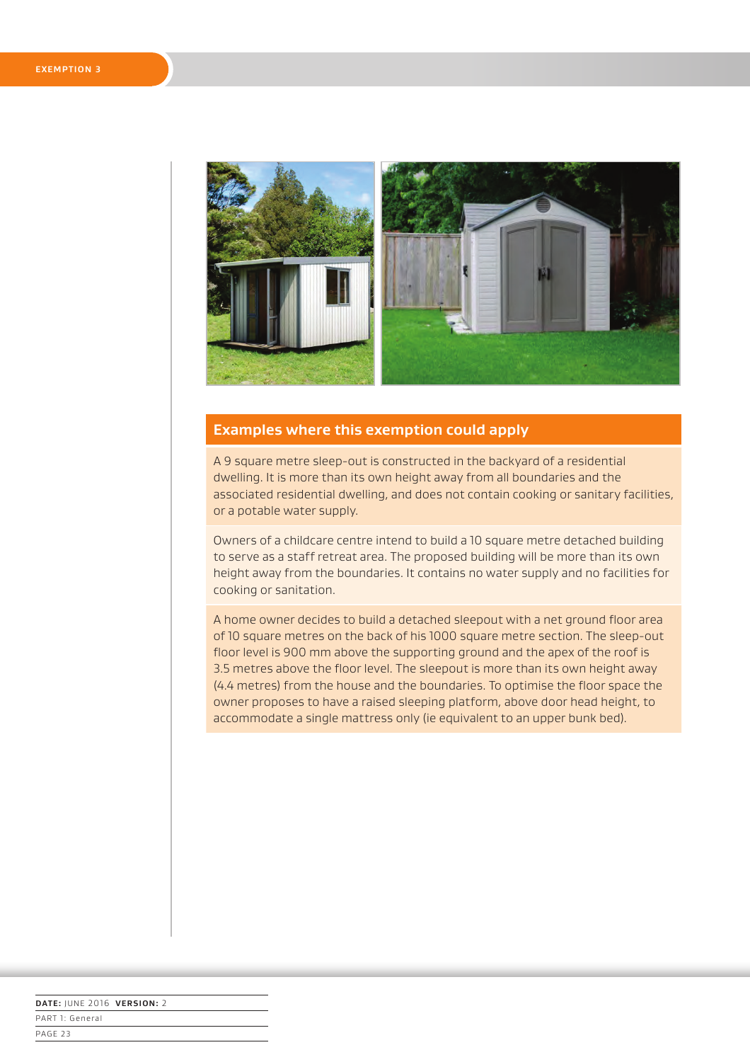

## **Examples where this exemption could apply**

A 9 square metre sleep-out is constructed in the backyard of a residential dwelling. It is more than its own height away from all boundaries and the associated residential dwelling, and does not contain cooking or sanitary facilities, or a potable water supply.

Owners of a childcare centre intend to build a 10 square metre detached building to serve as a staff retreat area. The proposed building will be more than its own height away from the boundaries. It contains no water supply and no facilities for cooking or sanitation.

A home owner decides to build a detached sleepout with a net ground floor area of 10 square metres on the back of his 1000 square metre section. The sleep-out floor level is 900 mm above the supporting ground and the apex of the roof is 3.5 metres above the floor level. The sleepout is more than its own height away (4.4 metres) from the house and the boundaries. To optimise the floor space the owner proposes to have a raised sleeping platform, above door head height, to accommodate a single mattress only (ie equivalent to an upper bunk bed).

| DATE: JUNE 2016 VERSION: 2 |  |
|----------------------------|--|
| PART 1: General            |  |
| PAGE <sub>23</sub>         |  |